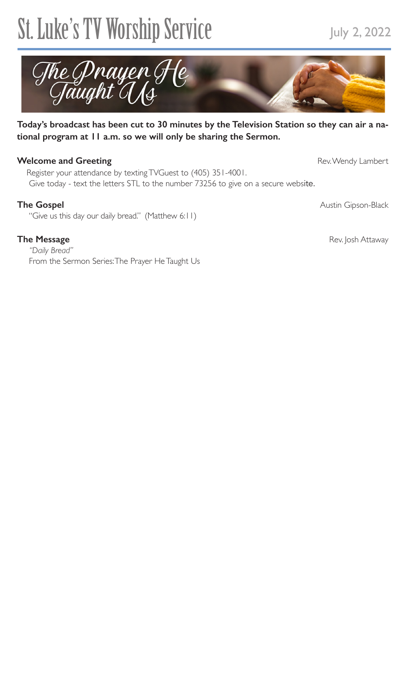# St. Luke's TV Worship Service July 2, 2022



### **Today's broadcast has been cut to 30 minutes by the Television Station so they can air a national program at 11 a.m. so we will only be sharing the Sermon.**

## **Welcome and Greeting** Rev. Wendy Lambert

 Register your attendance by texting TVGuest to (405) 351-4001. Give today - text the letters STL to the number 73256 to give on a secure website.

"Give us this day our daily bread." (Matthew 6:11)

*"Daily Bread"* From the Sermon Series: The Prayer He Taught Us

The Gospel **Austin Gipson-Black Austin Gipson-Black** 

**The Message Straward Control of the Message Straward Attaway Rev. Josh Attaway**